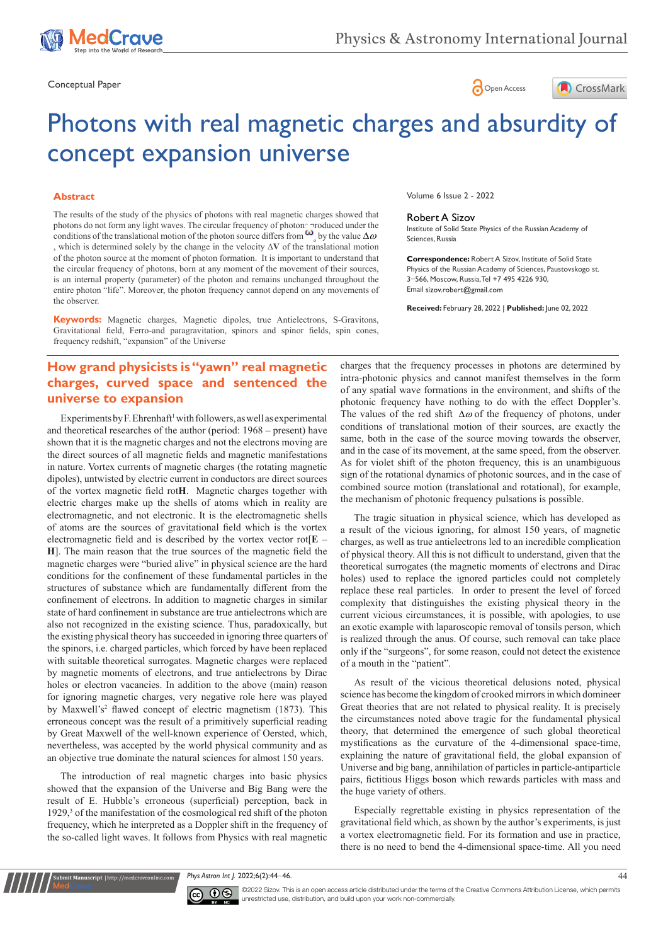

Conceptual Paper **Conceptual Paper Conceptual Paper Conceptual Paper Conceptual Paper Concess** 





# Photons with real magnetic charges and absurdity of concept expansion universe

#### **Abstract**

The results of the study of the physics of photons with real magnetic charges showed that photons do not form any light waves. The circular frequency of photons produced under the conditions of the translational motion of the photon source differs from  $\omega_{\circ}$  by the value  $\Delta \omega$ , which is determined solely by the change in the velocity ∆**V** of the translational motion of the photon source at the moment of photon formation. It is important to understand that the circular frequency of photons, born at any moment of the movement of their sources, is an internal property (parameter) of the photon and remains unchanged throughout the entire photon "life". Moreover, the photon frequency cannot depend on any movements of the observer.

**Keywords:** Magnetic charges, Magnetic dipoles, true Antielectrons, S-Gravitons, Gravitational field, Ferro-and paragravitation, spinors and spinor fields, spin cones, frequency redshift, "expansion" of the Universe

## **How grand physicists is "yawn" real magnetic charges, curved space and sentenced the universe to expansion**

Experiments by F. Ehrenhaft<sup>1</sup> with followers, as well as experimental and theoretical researchеs of the author (period: 1968 – present) have shown that it is the magnetic charges and not the electrons moving are the direct sources of all magnetic fields and magnetic manifestations in nature. Vortex currents of magnetic charges (the rotating magnetic dipoles), untwisted by electric current in conductors are direct sources of the vortex magnetic field rot**H**. Magnetic charges together with electric charges make up the shells of atoms which in reality are electromagnetic, and not electronic. It is the electromagnetic shells of atoms are the sources of gravitational field which is the vortex electromagnetic field and is described by the vortex vector rot[**E** – **H**]. The main reason that the true sources of the magnetic field the magnetic charges were "buried alive" in physical science are the hard conditions for the confinement of these fundamental particles in the structures of substance which are fundamentally different from the confinement of electrons. In addition to magnetic charges in similar state of hard confinement in substance are true antielectrons which are also not recognized in the existing science. Thus, paradoxically, but the existing physical theory has succeeded in ignoring three quarters of the spinors, i.e. charged particles, which forced by have been replaced with suitable theoretical surrogates. Magnetic charges were replaced by magnetic moments of electrons, and true antielectrons by Dirac holes or electron vacancies. In addition to the above (main) reason for ignoring magnetic charges, very negative role here was played by Maxwell's<sup>2</sup> flawed concept of electric magnetism (1873). This erroneous concept was the result of a primitively superficial reading by Great Maxwell of the well-known experience of Oersted, which, nevertheless, was accepted by the world physical community and as an objective true dominate the natural sciences for almost 150 years.

The introduction of real magnetic charges into basic physics showed that the expansion of the Universe and Big Bang were the result of E. Hubble's erroneous (superficial) perception, back in 1929,<sup>3</sup> of the manifestation of the cosmological red shift of the photon frequency, which he interpreted as a Doppler shift in the frequency of the so-called light waves. It follows from Physics with real magnetic

**nit Manuscript** | http://medcraveonline.co

Volume 6 Issue 2 - 2022

#### Robert A Sizov

Institute of Solid State Physics of the Russian Academy of Sciences, Russia

**Correspondence:** Robert A Sizov, Institute of Solid State Physics of the Russian Academy of Sciences, Paustovskogo st. 3−566, Moscow, Russia, Tel +7 495 4226 930, Email sizov.robert@gmail.com

**Received:** February 28, 2022 | **Published:** June 02, 2022

charges that the frequency processes in photons are determined by intra-photonic physics and cannot manifest themselves in the form of any spatial wave formations in the environment, and shifts of the photonic frequency have nothing to do with the effect Doppler's. The values of the red shift  $\Delta\omega$  of the frequency of photons, under conditions of translational motion of their sources, are exactly the same, both in the case of the source moving towards the observer, and in the case of its movement, at the same speed, from the observer. As for violet shift of the photon frequency, this is an unambiguous sign of the rotational dynamics of photonic sources, and in the case of combined source motion (translational and rotational), for example, the mechanism of photonic frequency pulsations is possible.

The tragic situation in physical science, which has developed as a result of the vicious ignoring, for almost 150 years, of magnetic charges, as well as true antielectrons led to an incredible complication of physical theory. All this is not difficult to understand, given that the theoretical surrogates (the magnetic moments of electrons and Dirac holes) used to replace the ignored particles could not completely replace these real particles. In order to present the level of forced complexity that distinguishes the existing physical theory in the current vicious circumstances, it is possible, with apologies, to use an exotic example with laparoscopic removal of tonsils person, which is realized through the anus. Of course, such removal can take place only if the "surgeons", for some reason, could not detect the existence of a mouth in the "patient".

As result of the vicious theoretical delusions noted, physical science has become the kingdom of crooked mirrors in which domineer Great theories that are not related to physical reality. It is precisely the circumstances noted above tragic for the fundamental physical theory, that determined the emergence of such global theoretical mystifications as the curvature of the 4-dimensional space-time, explaining the nature of gravitational field, the global expansion of Universe and big bang, annihilation of particles in particle-antiparticle pairs, fictitious Higgs boson which rewards particles with mass and the huge variety of others.

Especially regrettable existing in physics representation of the gravitational field which, as shown by the author's experiments, is just a vortex electromagnetic field. For its formation and use in practice, there is no need to bend the 4-dimensional space-time. All you need

*Phys Astron Int J.* 2022;6(2):44‒46. 44



©2022 Sizov. This is an open access article distributed under the terms of the Creative Commons Attribution License, which permits unrestricted use, distribution, and build upon your work non-commercially.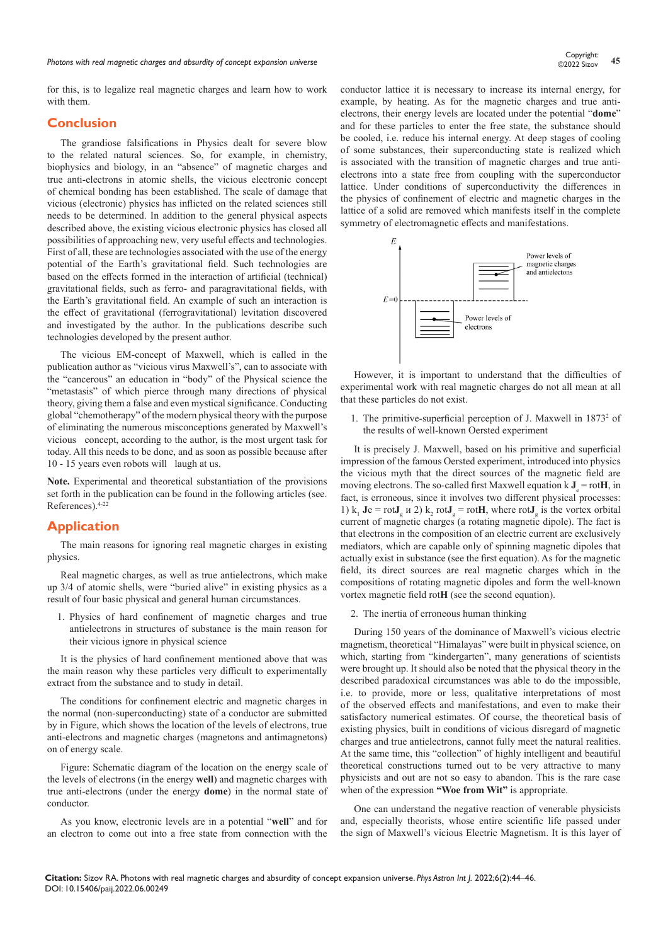for this, is to legalize real magnetic charges and learn how to work with them.

#### **Conclusion**

The grandiose falsifications in Physics dealt for severe blow to the related natural sciences. So, for example, in chemistry, biophysics and biology, in an "absence" of magnetic charges and true anti-electrons in atomic shells, the vicious electronic concept of chemical bonding has been established. The scale of damage that vicious (electronic) physics has inflicted on the related sciences still needs to be determined. In addition to the general physical aspects described above, the existing vicious electronic physics has closed all possibilities of approaching new, very useful effects and technologies. First of all, these are technologies associated with the use of the energy potential of the Earth's gravitational field. Such technologies are based on the effects formed in the interaction of artificial (technical) gravitational fields, such as ferro- and paragravitational fields, with the Earth's gravitational field. An example of such an interaction is the effect of gravitational (ferrogravitational) levitation discovered and investigated by the author. In the publications describe such technologies developed by the present author.

The vicious EM-concept of Maxwell, which is called in the publication author as "vicious virus Maxwell's", can to associate with the "cancerous" an education in "body" of the Physical science the "metastasis" of which pierce through many directions of physical theory, giving them a false and even mystical significance. Conducting global "chemotherapy" of the modern physical theory with the purpose of eliminating the numerous misconceptions generated by Maxwell's vicious concept, according to the author, is the most urgent task for today. All this needs to be done, and as soon as possible because after 10 - 15 years even robots will laugh at us.

**Note.** Experimental and theoretical substantiation of the provisions set forth in the publication can be found in the following articles (see. References).4-22

#### **Application**

The main reasons for ignoring real magnetic charges in existing physics.

Real magnetic charges, as well as true antielectrons, which make up 3/4 of atomic shells, were "buried alive" in existing physics as a result of four basic physical and general human circumstances.

1. Physics of hard confinement of magnetic charges and true antielectrons in structures of substance is the main reason for their vicious ignore in physical science

It is the physics of hard confinement mentioned above that was the main reason why these particles very difficult to experimentally extract from the substance and to study in detail.

The conditions for confinement electric and magnetic charges in the normal (non-superconducting) state of a conductor are submitted by in Figure, which shows the location of the levels of electrons, true anti-electrons and magnetic charges (magnetons and antimagnetons) on of energy scale.

Figure: Schematic diagram of the location on the energy scale of the levels of electrons (in the energy **well**) and magnetic charges with true anti-electrons (under the energy **dome**) in the normal state of conductor.

As you know, electronic levels are in a potential "**well**" and for an electron to come out into a free state from connection with the conductor lattice it is necessary to increase its internal energy, for example, by heating. As for the magnetic charges and true antielectrons, their energy levels are located under the potential "**dome**" and for these particles to enter the free state, the substance should be cooled, i.e. reduce his internal energy. At deep stages of cooling of some substances, their superconducting state is realized which is associated with the transition of magnetic charges and true antielectrons into a state free from coupling with the superconductor lattice. Under conditions of superconductivity the differences in the physics of confinement of electric and magnetic charges in the lattice of a solid are removed which manifests itself in the complete symmetry of electromagnetic effects and manifestations.



However, it is important to understand that the difficulties of experimental work with real magnetic charges do not all mean at all that these particles do not exist.

1. The primitive-superficial perception of J. Maxwell in 1873<sup>2</sup> of the results of well-known Oersted experiment

It is precisely J. Maxwell, based on his primitive and superficial impression of the famous Oersted experiment, introduced into physics the vicious myth that the direct sources of the magnetic field are moving electrons. The so-called first Maxwell equation k  $J_e$  = rot**H**, in fact, is erroneous, since it involves two different physical processes: 1)  $k_1$  **J**e = rot**J**<sub>g</sub>  $\mu$  2)  $k_2$  rot**J**<sub>g</sub> = rot**H**, where rot**J**<sub>g</sub> is the vortex orbital current of magnetic charges (a rotating magnetic dipole). The fact is that electrons in the composition of an electric current are exclusively mediators, which are capable only of spinning magnetic dipoles that actually exist in substance (see the first equation). As for the magnetic field, its direct sources are real magnetic charges which in the compositions of rotating magnetic dipoles and form the well-known vortex magnetic field rot**H** (see the second equation).

2. The inertia of erroneous human thinking

During 150 years of the dominance of Maxwell's vicious electric magnetism, theoretical "Himalayas" were built in physical science, on which, starting from "kindergarten", many generations of scientists were brought up. It should also be noted that the physical theory in the described paradoxical circumstances was able to do the impossible, i.e. to provide, more or less, qualitative interpretations of most of the observed effects and manifestations, and even to make their satisfactory numerical estimates. Of course, the theoretical basis of existing physics, built in conditions of vicious disregard of magnetic charges and true antielectrons, cannot fully meet the natural realities. At the same time, this "collection" of highly intelligent and beautiful theoretical constructions turned out to be very attractive to many physicists and out are not so easy to abandon. This is the rare case when of the expression **"Woe from Wit"** is appropriate.

One can understand the negative reaction of venerable physicists and, especially theorists, whose entire scientific life passed under the sign of Maxwell's vicious Electric Magnetism. It is this layer of